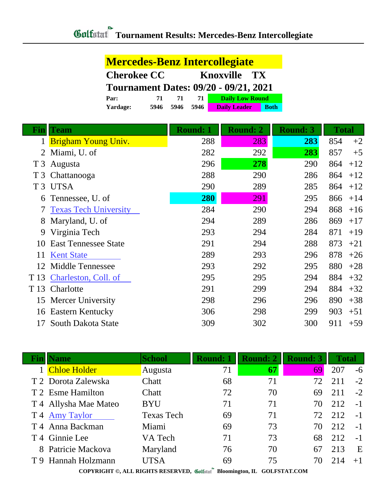|                | <b>Mercedes-Benz Intercollegiate</b>         |                 |                  |                                    |                 |  |
|----------------|----------------------------------------------|-----------------|------------------|------------------------------------|-----------------|--|
|                | <b>Cherokee CC</b>                           |                 | <b>Knoxville</b> |                                    |                 |  |
|                | <b>Tournament Dates: 09/20 - 09/21, 2021</b> |                 |                  |                                    |                 |  |
|                | Par:<br>71                                   | 71              | 71               | <b>Daily Low Round</b>             |                 |  |
|                | 5946<br>Yardage:                             | 5946            | 5946             | <b>Daily Leader</b><br><b>Both</b> |                 |  |
| Fin            | Team                                         | <b>Round: 1</b> |                  | <b>Round: 2</b>                    | <b>Round: 3</b> |  |
| 1              | <b>Brigham Young Univ.</b>                   |                 | 288              | 283                                | 283             |  |
| $\overline{2}$ | Miami, U. of                                 |                 | 282              | 292                                | 283             |  |
| T <sub>3</sub> | Augusta                                      |                 | 296              | 278                                | 290             |  |
| T <sub>3</sub> | Chattanooga                                  |                 | 288              | 290                                | 286             |  |
|                | T <sub>3</sub> UTSA                          |                 | 290              | 289                                | 285             |  |
| 6              | Tennessee, U. of                             |                 | 280              | 291                                | 295             |  |
| 7              | <b>Texas Tech University</b>                 |                 | 284              | 290                                | 294             |  |
| 8              | Maryland, U. of                              |                 | 294              | 289                                | 286             |  |
| 9              | Virginia Tech                                |                 | 293              | 294                                | 284             |  |
| 10             | <b>East Tennessee State</b>                  |                 | 291              | 294                                | 288             |  |
| 11             | <b>Kent State</b>                            |                 | 289              | 293                                | 296             |  |
| 12             | <b>Middle Tennessee</b>                      |                 | 293              | 292                                | 295             |  |
| T 13           | Charleston, Coll. of                         |                 | 295              | 295                                | 294             |  |
| T 13           | Charlotte                                    |                 | 291              | 299                                | 294             |  |
|                | 15 Mercer University                         |                 | 298              | 296                                | 296             |  |
|                | 16 Eastern Kentucky                          |                 | 306              | 298                                | 299             |  |
| 17             | South Dakota State                           |                 | 309              | 302                                | 300             |  |

| <b>Name</b>                 | <b>School</b>     | <b>Round: 1</b> | <b>Round: 2</b> | <b>Round: 3</b> | <b>Total</b> |      |
|-----------------------------|-------------------|-----------------|-----------------|-----------------|--------------|------|
| <b>Chloe Holder</b>         | Augusta           | 71              | 67              | 69              | 207          | -6   |
| T 2 Dorota Zalewska         | Chatt             | 68              | 71              | 72              | 211          | $-2$ |
| T 2 Esme Hamilton           | Chatt             | 72              | 70              | 69              | 211          | $-2$ |
| T 4 Allysha Mae Mateo       | <b>BYU</b>        | 71              | 71              | 70              | 212          | $-1$ |
| T 4 Amy Taylor              | <b>Texas Tech</b> | 69              | 71              | 72              | 212          | $-1$ |
| T <sub>4</sub> Anna Backman | Miami             | 69              | 73              | 70              | 212          | $-1$ |
| T <sub>4</sub> Ginnie Lee   | VA Tech           | 71              | 73              | 68              | 212          | $-1$ |
| 8 Patricie Mackova          | Maryland          | 76              | 70              | 67              | 213          | E    |
| T 9 Hannah Holzmann         | UTSA              | 69              | 75              | 70              | 214          | $+1$ |

**COPYRIGHT ©, ALL RIGHTS RESERVED, Bloomington, IL GOLFSTAT.COM**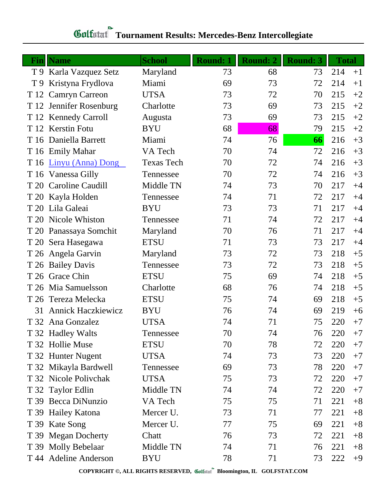| Fin  | <b>Name</b>               | <b>School</b>     | <b>Round: 1</b> | Round: 2 | <b>Round: 3</b> | <b>Total</b> |      |
|------|---------------------------|-------------------|-----------------|----------|-----------------|--------------|------|
|      | T 9 Karla Vazquez Setz    | Maryland          | 73              | 68       | 73              | 214          | $+1$ |
| T9   | Kristyna Frydlova         | Miami             | 69              | 73       | 72              | 214          | $+1$ |
| T 12 | <b>Camryn Carreon</b>     | <b>UTSA</b>       | 73              | 72       | 70              | 215          | $+2$ |
|      | T 12 Jennifer Rosenburg   | Charlotte         | 73              | 69       | 73              | 215          | $+2$ |
|      | T 12 Kennedy Carroll      | Augusta           | 73              | 69       | 73              | 215          | $+2$ |
|      | T 12 Kerstin Fotu         | <b>BYU</b>        | 68              | 68       | 79              | 215          | $+2$ |
|      | T 16 Daniella Barrett     | Miami             | 74              | 76       | 66              | 216          | $+3$ |
|      | T 16 Emily Mahar          | VA Tech           | 70              | 74       | 72              | 216          | $+3$ |
|      | T 16 Linyu (Anna) Dong    | <b>Texas Tech</b> | 70              | 72       | 74              | 216          | $+3$ |
|      | T 16 Vanessa Gilly        | Tennessee         | 70              | 72       | 74              | 216          | $+3$ |
|      | T 20 Caroline Caudill     | Middle TN         | 74              | 73       | 70              | 217          | $+4$ |
|      | T 20 Kayla Holden         | Tennessee         | 74              | 71       | 72              | 217          | $+4$ |
|      | T 20 Lila Galeai          | <b>BYU</b>        | 73              | 73       | 71              | 217          | $+4$ |
|      | T 20 Nicole Whiston       | Tennessee         | 71              | 74       | 72              | 217          | $+4$ |
|      | T 20 Panassaya Somchit    | Maryland          | 70              | 76       | 71              | 217          | $+4$ |
|      | T 20 Sera Hasegawa        | <b>ETSU</b>       | 71              | 73       | 73              | 217          | $+4$ |
|      | T 26 Angela Garvin        | Maryland          | 73              | 72       | 73              | 218          | $+5$ |
|      | T 26 Bailey Davis         | Tennessee         | 73              | 72       | 73              | 218          | $+5$ |
|      | T 26 Grace Chin           | <b>ETSU</b>       | 75              | 69       | 74              | 218          | $+5$ |
|      | T 26 Mia Samuelsson       | Charlotte         | 68              | 76       | 74              | 218          | $+5$ |
|      | T 26 Tereza Melecka       | <b>ETSU</b>       | 75              | 74       | 69              | 218          | $+5$ |
| 31   | <b>Annick Haczkiewicz</b> | <b>BYU</b>        | 76              | 74       | 69              | 219          | $+6$ |
|      | T 32 Ana Gonzalez         | <b>UTSA</b>       | 74              | 71       | 75              | 220          | $+7$ |
|      | T 32 Hadley Walts         | Tennessee         | 70              | 74       | 76              | 220          | $+7$ |
|      | T 32 Hollie Muse          | <b>ETSU</b>       | 70              | 78       | 72              | 220          | $+7$ |
|      | T 32 Hunter Nugent        | <b>UTSA</b>       | 74              | 73       | 73              | 220          | $+7$ |
|      | T 32 Mikayla Bardwell     | Tennessee         | 69              | 73       | 78              | 220          | $+7$ |
|      | T 32 Nicole Polivchak     | <b>UTSA</b>       | 75              | 73       | 72              | 220          | $+7$ |
|      | T 32 Taylor Edlin         | Middle TN         | 74              | 74       | 72              | 220          | $+7$ |
|      | T 39 Becca DiNunzio       | VA Tech           | 75              | 75       | 71              | 221          | $+8$ |
|      | T 39 Hailey Katona        | Mercer U.         | 73              | 71       | 77              | 221          | $+8$ |
|      | T 39 Kate Song            | Mercer U.         | 77              | 75       | 69              | 221          | $+8$ |
|      | T 39 Megan Docherty       | Chatt             | 76              | 73       | 72              | 221          | $+8$ |
|      | T 39 Molly Bebelaar       | Middle TN         | 74              | 71       | 76              | 221          | $+8$ |
|      | T 44 Adeline Anderson     | <b>BYU</b>        | 78              | 71       | 73              | 222          | $+9$ |

## **Tournament Results: Mercedes-Benz Intercollegiate**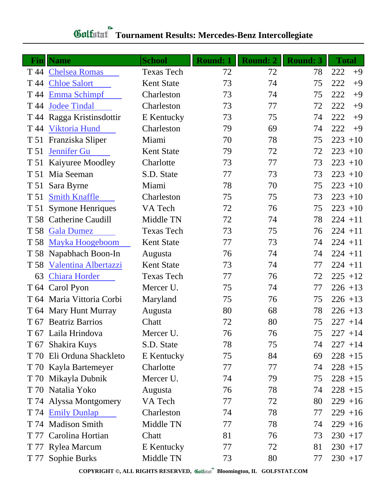## **Fin Name School Round: 1 Round: 2 Round: 3 Total** T 44 [Chelsea Romas](http://www.golfstat.com/ultimate/W114web/W114index.htm?p=L) Texas Tech 72 72 78 222 +9 T 44 [Chloe Salort](http://www.golfstat.com/ultimate/W056web/W056index.htm?p=C) Kent State 73 74 75 222 +9 T 44 [Emma Schimpf](http://www.golfstat.com/ultimate/W137web/W137index.htm?p=L) Charleston 73 74 75 222 +9 T 44 [Jodee Tindal](http://www.golfstat.com/ultimate/W137web/W137index.htm?p=E) Charleston 73 77 72 222 +9 T 44 Ragga Kristinsdottir E Kentucky 73 75 74 222 +9 T 44 [Viktoria Hund](http://www.golfstat.com/ultimate/W137web/W137index.htm?p=H) Charleston 79 69 74 222 +9 T 51 Franziska Sliper Miami 70 78 75 223 +10 T 51 [Jennifer Gu](http://www.golfstat.com/ultimate/W056web/W056index.htm?p=I) Kent State 79 72 72 223 +10 T 51 Kaiyuree Moodley Charlotte 73 77 73 223 +10 T 51 Mia Seeman S.D. State 77 73 73 223 +10 T 51 Sara Byrne Miami 78 70 75 223 +10 T 51 [Smith Knaffle](http://www.golfstat.com/ultimate/W137web/W137index.htm?p=K) Charleston 75 75 73 223 +10 T 51 Symone Henriques VA Tech 72 76 75 223 +10 T 58 Catherine Caudill Middle TN 72 74 78 224 +11 T 58 [Gala Dumez](http://www.golfstat.com/ultimate/W114web/W114index.htm?p=F) Texas Tech 73 75 76 224 +11 T 58 [Mayka Hoogeboom](http://www.golfstat.com/ultimate/W056web/W056index.htm?p=G) Kent State 77 73 74 224 +11 T 58 Napabhach Boon-In Augusta 76 74 74 224 +11 T 58 [Valentina Albertazzi](http://www.golfstat.com/ultimate/W056web/W056index.htm?p=F) Kent State 73 74 77 224 +11 63 [Chiara Horder](http://www.golfstat.com/ultimate/W114web/W114index.htm?p=J) Texas Tech 77 76 72 225 +12 T 64 Carol Pyon Mercer U. 75 74 77 226 +13 T 64 Maria Vittoria Corbi Maryland 75 76 75 226 +13 T 64 Mary Hunt Murray Augusta 80 68 78 226 +13 T 67 Beatriz Barrios Chatt 72 80 75 227 +14 T 67 Laila Hrindova Mercer U. 16 76 75 227 +14 T 67 Shakira Kuys S.D. State 78 75 74 227 +14 T 70 Eli Orduna Shackleto E Kentucky 75 84 69 228 +15 T 70 Kayla Bartemeyer Charlotte 77 77 74 228 +15 T 70 Mikayla Dubnik Mercer U. 24 79 75 228 +15 T 70 Natalia Yoko Augusta 76 78 74 228 +15 T 74 Alyssa Montgomery VA Tech 77 72 80 229 +16 T 74 [Emily Dunlap](http://www.golfstat.com/ultimate/W137web/W137index.htm?p=G) Charleston 74 78 77 229 +16 T 74 Madison Smith Middle TN 77 78 74 229 +16 T 77 Carolina Hortian Chatt 81 76 73 230 +17 T 77 Rylea Marcum E Kentucky 77 72 81 230 +17 T 77 Sophie Burks Middle TN 73 80 77 230 +17

## **Tournament Results: Mercedes-Benz Intercollegiate**